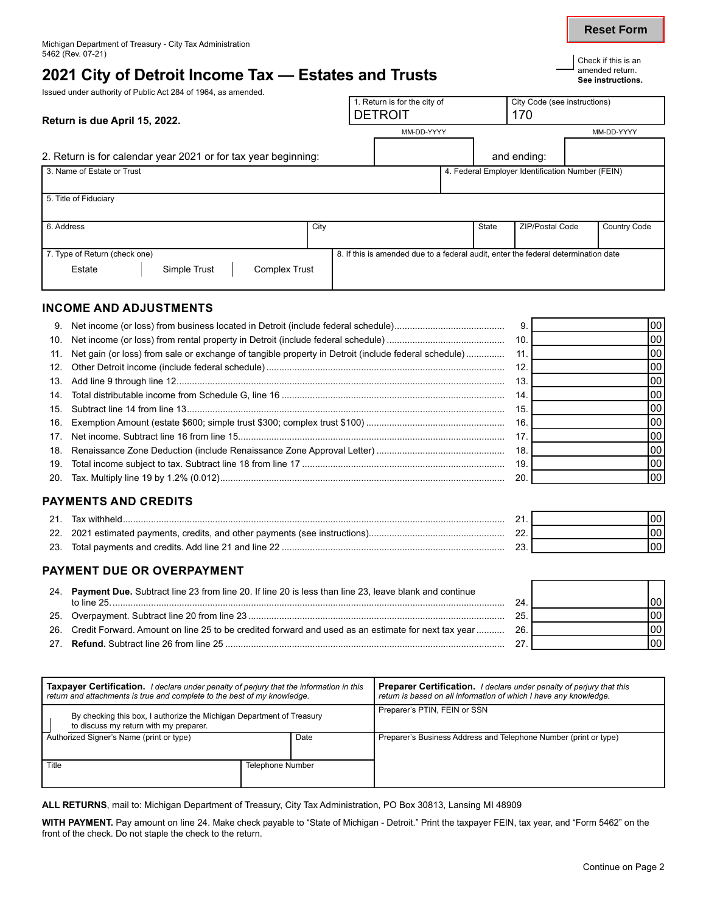## 2021 City of Detroit Income Tax — Estates and Trusts **Fig. 2021** See instructions.

Issued under authority of Public Act 284 of 1964, as amended.

**Reset Form**

| Return is due April 15, 2022.                                  | 1. Return is for the city of<br><b>DETROIT</b>                                     |       | City Code (see instructions)<br>170              |  |              |
|----------------------------------------------------------------|------------------------------------------------------------------------------------|-------|--------------------------------------------------|--|--------------|
|                                                                | MM-DD-YYYY                                                                         |       |                                                  |  | MM-DD-YYYY   |
| 2. Return is for calendar year 2021 or for tax year beginning: |                                                                                    |       | and ending:                                      |  |              |
| 3. Name of Estate or Trust                                     |                                                                                    |       | 4. Federal Employer Identification Number (FEIN) |  |              |
| 5. Title of Fiduciary                                          |                                                                                    |       |                                                  |  |              |
| 6. Address                                                     | City                                                                               | State | <b>ZIP/Postal Code</b>                           |  | Country Code |
| 7. Type of Return (check one)                                  | 8. If this is amended due to a federal audit, enter the federal determination date |       |                                                  |  |              |
| Simple Trust<br><b>Complex Trust</b><br>Estate                 |                                                                                    |       |                                                  |  |              |

#### **INCOME AND ADJUSTMENTS**

|                                                                                                         | 9.  | 00  |
|---------------------------------------------------------------------------------------------------------|-----|-----|
|                                                                                                         | 10. | 00  |
| 11. Net gain (or loss) from sale or exchange of tangible property in Detroit (include federal schedule) |     | 00  |
|                                                                                                         | 12. | 00  |
|                                                                                                         | 13. | 00  |
|                                                                                                         | 14. | 00  |
|                                                                                                         | 15. | 00  |
|                                                                                                         | 16. | 100 |
|                                                                                                         | 17  | 00  |
|                                                                                                         | 18. | 00  |
|                                                                                                         | 19. | 00  |
|                                                                                                         | -20 | 00  |

## **PAYMENTS AND CREDITS**

| - 21 |                                                                             |  |
|------|-----------------------------------------------------------------------------|--|
|      | 22. 2021 estimated payments, credits, and other payments (see instructions) |  |
|      | 23. Total payments and credits. Add line 21 and line 22                     |  |

## **PAYMENT DUE OR OVERPAYMENT**

| 24. Payment Due. Subtract line 23 from line 20. If line 20 is less than line 23, leave blank and continue |     |  |
|-----------------------------------------------------------------------------------------------------------|-----|--|
| to line 25                                                                                                |     |  |
|                                                                                                           |     |  |
| 26. Credit Forward. Amount on line 25 to be credited forward and used as an estimate for next tax year    | 26. |  |
|                                                                                                           |     |  |

| <b>Taxpayer Certification.</b> I declare under penalty of perjury that the information in this<br>return and attachments is true and complete to the best of my knowledge. |                  | <b>Preparer Certification.</b> I declare under penalty of perjury that this<br>return is based on all information of which I have any knowledge. |                                                                  |
|----------------------------------------------------------------------------------------------------------------------------------------------------------------------------|------------------|--------------------------------------------------------------------------------------------------------------------------------------------------|------------------------------------------------------------------|
| By checking this box, I authorize the Michigan Department of Treasury<br>to discuss my return with my preparer.                                                            |                  | Preparer's PTIN, FEIN or SSN                                                                                                                     |                                                                  |
| Authorized Signer's Name (print or type)                                                                                                                                   |                  | Date                                                                                                                                             | Preparer's Business Address and Telephone Number (print or type) |
| Title                                                                                                                                                                      | Telephone Number |                                                                                                                                                  |                                                                  |

**ALL RETURNS**, mail to: Michigan Department of Treasury, City Tax Administration, PO Box 30813, Lansing MI 48909

**WITH PAYMENT.** Pay amount on line 24. Make check payable to "State of Michigan - Detroit." Print the taxpayer FEIN, tax year, and "Form 5462" on the front of the check. Do not staple the check to the return.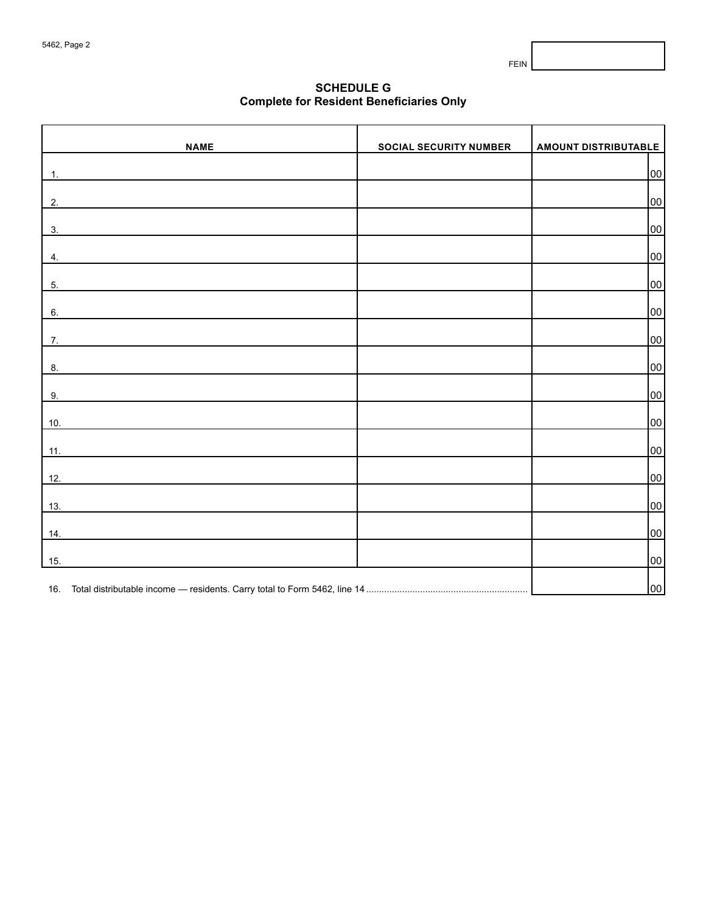FEIN

## **SCHEDULE G Complete for Resident Beneficiaries Only**

| <b>NAME</b>    | <b>SOCIAL SECURITY NUMBER</b> | <b>AMOUNT DISTRIBUTABLE</b> |
|----------------|-------------------------------|-----------------------------|
| $\mathbf{1}$ . |                               | 00                          |
|                |                               |                             |
| 2.             |                               | 00                          |
| 3.             |                               | 00                          |
|                |                               |                             |
| 4.             |                               | 00                          |
| 5.             |                               | 00                          |
| 6.             |                               | 00                          |
| 7.             |                               | 00                          |
|                |                               |                             |
| 8.             |                               | 00                          |
| 9.             |                               | 00                          |
| 10.            |                               | 00                          |
|                |                               |                             |
| 11.            |                               | 00                          |
| 12.            |                               | 00                          |
|                |                               | 00                          |
| $13.$          |                               |                             |
| 14.            |                               | 00                          |
| 15.            |                               | 00                          |
|                |                               |                             |
|                |                               | 00                          |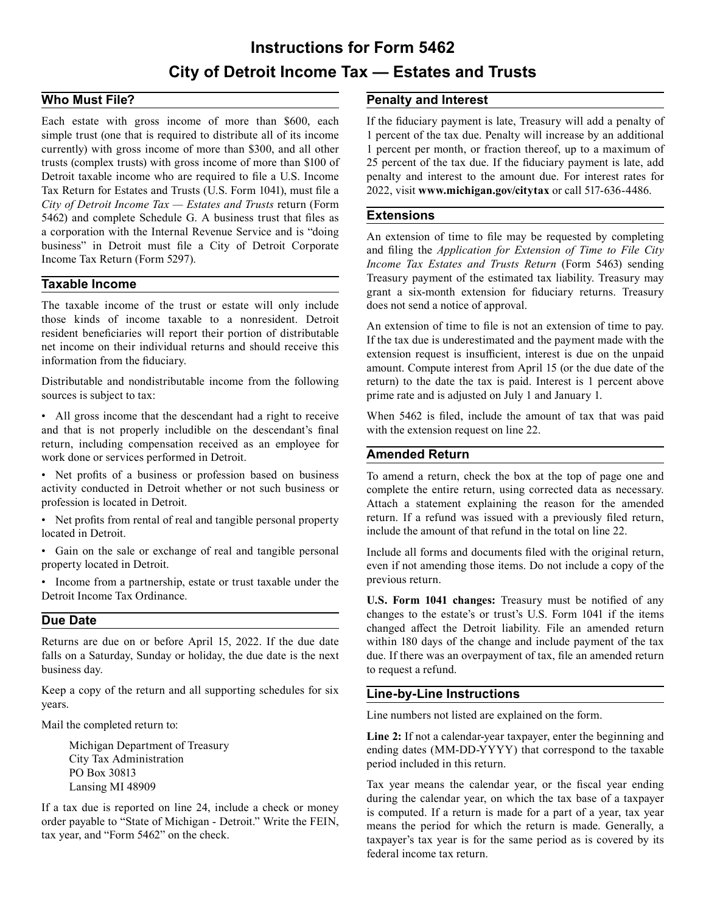# **Instructions for Form 5462 City of Detroit Income Tax — Estates and Trusts**

## **Who Must File?**

Each estate with gross income of more than \$600, each simple trust (one that is required to distribute all of its income currently) with gross income of more than \$300, and all other trusts (complex trusts) with gross income of more than \$100 of Detroit taxable income who are required to file a U.S. Income Tax Return for Estates and Trusts (U.S. Form 1041), must file a *City of Detroit Income Tax — Estates and Trusts* return (Form 5462) and complete Schedule G. A business trust that files as a corporation with the Internal Revenue Service and is "doing business" in Detroit must file a City of Detroit Corporate Income Tax Return (Form 5297).

## **Taxable Income**

The taxable income of the trust or estate will only include those kinds of income taxable to a nonresident. Detroit resident beneficiaries will report their portion of distributable net income on their individual returns and should receive this information from the fiduciary.

Distributable and nondistributable income from the following sources is subject to tax:

• All gross income that the descendant had a right to receive and that is not properly includible on the descendant's final return, including compensation received as an employee for work done or services performed in Detroit.

• Net profits of a business or profession based on business activity conducted in Detroit whether or not such business or profession is located in Detroit.

• Net profits from rental of real and tangible personal property located in Detroit.

• Gain on the sale or exchange of real and tangible personal property located in Detroit.

• Income from a partnership, estate or trust taxable under the Detroit Income Tax Ordinance.

## **Due Date**

Returns are due on or before April 15, 2022. If the due date falls on a Saturday, Sunday or holiday, the due date is the next business day.

Keep a copy of the return and all supporting schedules for six years.

Mail the completed return to:

Michigan Department of Treasury City Tax Administration PO Box 30813 Lansing MI 48909

If a tax due is reported on line 24, include a check or money order payable to "State of Michigan - Detroit." Write the FEIN, tax year, and "Form 5462" on the check.

#### **Penalty and Interest**

If the fiduciary payment is late, Treasury will add a penalty of 1 percent of the tax due. Penalty will increase by an additional 1 percent per month, or fraction thereof, up to a maximum of 25 percent of the tax due. If the fiduciary payment is late, add penalty and interest to the amount due. For interest rates for 2022, visit **<www.michigan.gov/citytax>** or call 517-636-4486.

#### **Extensions**

An extension of time to file may be requested by completing and filing the *Application for Extension of Time to File City Income Tax Estates and Trusts Return* (Form 5463) sending Treasury payment of the estimated tax liability. Treasury may grant a six-month extension for fiduciary returns. Treasury does not send a notice of approval.

An extension of time to file is not an extension of time to pay. If the tax due is underestimated and the payment made with the extension request is insufficient, interest is due on the unpaid amount. Compute interest from April 15 (or the due date of the return) to the date the tax is paid. Interest is 1 percent above prime rate and is adjusted on July 1 and January 1.

When 5462 is filed, include the amount of tax that was paid with the extension request on line 22.

#### **Amended Return**

To amend a return, check the box at the top of page one and complete the entire return, using corrected data as necessary. Attach a statement explaining the reason for the amended return. If a refund was issued with a previously filed return, include the amount of that refund in the total on line 22.

Include all forms and documents filed with the original return, even if not amending those items. Do not include a copy of the previous return.

**U.S. Form 1041 changes:** Treasury must be notified of any changes to the estate's or trust's U.S. Form 1041 if the items changed affect the Detroit liability. File an amended return within 180 days of the change and include payment of the tax due. If there was an overpayment of tax, file an amended return to request a refund.

## **Line-by-Line Instructions**

Line numbers not listed are explained on the form.

**Line 2:** If not a calendar-year taxpayer, enter the beginning and ending dates (MM-DD-YYYY) that correspond to the taxable period included in this return.

Tax year means the calendar year, or the fiscal year ending during the calendar year, on which the tax base of a taxpayer is computed. If a return is made for a part of a year, tax year means the period for which the return is made. Generally, a taxpayer's tax year is for the same period as is covered by its federal income tax return.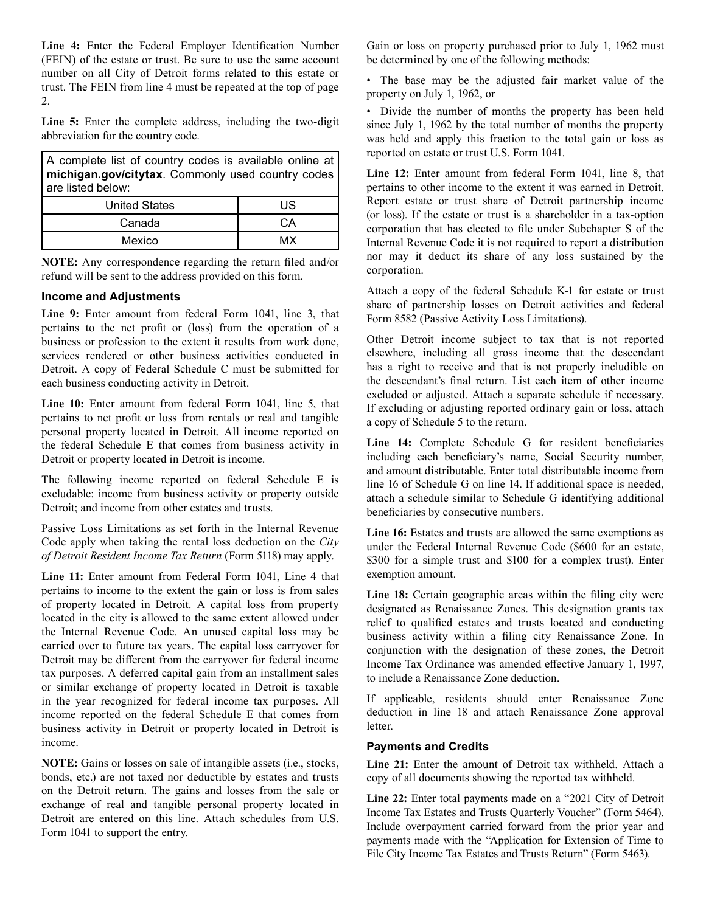**Line 4:** Enter the Federal Employer Identification Number (FEIN) of the estate or trust. Be sure to use the same account number on all City of Detroit forms related to this estate or trust. The FEIN from line 4 must be repeated at the top of page 2.

Line 5: Enter the complete address, including the two-digit abbreviation for the country code.

A complete list of country codes is available online at **michigan.gov/citytax**. Commonly used country codes are listed below:

| <b>United States</b> | US |
|----------------------|----|
| Canada               | ∩Ω |
| Mexico               | MX |

**NOTE:** Any correspondence regarding the return filed and/or refund will be sent to the address provided on this form.

#### **Income and Adjustments**

**Line 9:** Enter amount from federal Form 1041, line 3, that pertains to the net profit or (loss) from the operation of a business or profession to the extent it results from work done, services rendered or other business activities conducted in Detroit. A copy of Federal Schedule C must be submitted for each business conducting activity in Detroit.

Line 10: Enter amount from federal Form 1041, line 5, that pertains to net profit or loss from rentals or real and tangible personal property located in Detroit. All income reported on the federal Schedule E that comes from business activity in Detroit or property located in Detroit is income.

The following income reported on federal Schedule E is excludable: income from business activity or property outside Detroit; and income from other estates and trusts.

Passive Loss Limitations as set forth in the Internal Revenue Code apply when taking the rental loss deduction on the *City of Detroit Resident Income Tax Return* (Form 5118) may apply.

**Line 11:** Enter amount from Federal Form 1041, Line 4 that pertains to income to the extent the gain or loss is from sales of property located in Detroit. A capital loss from property located in the city is allowed to the same extent allowed under the Internal Revenue Code. An unused capital loss may be carried over to future tax years. The capital loss carryover for Detroit may be different from the carryover for federal income tax purposes. A deferred capital gain from an installment sales or similar exchange of property located in Detroit is taxable in the year recognized for federal income tax purposes. All income reported on the federal Schedule E that comes from business activity in Detroit or property located in Detroit is income.

**NOTE:** Gains or losses on sale of intangible assets (i.e., stocks, bonds, etc.) are not taxed nor deductible by estates and trusts on the Detroit return. The gains and losses from the sale or exchange of real and tangible personal property located in Detroit are entered on this line. Attach schedules from U.S. Form 1041 to support the entry.

Gain or loss on property purchased prior to July 1, 1962 must be determined by one of the following methods:

• The base may be the adjusted fair market value of the property on July 1, 1962, or

• Divide the number of months the property has been held since July 1, 1962 by the total number of months the property was held and apply this fraction to the total gain or loss as reported on estate or trust U.S. Form 1041.

Line 12: Enter amount from federal Form 1041, line 8, that pertains to other income to the extent it was earned in Detroit. Report estate or trust share of Detroit partnership income (or loss). If the estate or trust is a shareholder in a tax-option corporation that has elected to file under Subchapter S of the Internal Revenue Code it is not required to report a distribution nor may it deduct its share of any loss sustained by the corporation.

Attach a copy of the federal Schedule K-1 for estate or trust share of partnership losses on Detroit activities and federal Form 8582 (Passive Activity Loss Limitations).

Other Detroit income subject to tax that is not reported elsewhere, including all gross income that the descendant has a right to receive and that is not properly includible on the descendant's final return. List each item of other income excluded or adjusted. Attach a separate schedule if necessary. If excluding or adjusting reported ordinary gain or loss, attach a copy of Schedule 5 to the return.

**Line 14:** Complete Schedule G for resident beneficiaries including each beneficiary's name, Social Security number, and amount distributable. Enter total distributable income from line 16 of Schedule G on line 14. If additional space is needed, attach a schedule similar to Schedule G identifying additional beneficiaries by consecutive numbers.

**Line 16:** Estates and trusts are allowed the same exemptions as under the Federal Internal Revenue Code (\$600 for an estate, \$300 for a simple trust and \$100 for a complex trust). Enter exemption amount.

Line 18: Certain geographic areas within the filing city were designated as Renaissance Zones. This designation grants tax relief to qualified estates and trusts located and conducting business activity within a filing city Renaissance Zone. In conjunction with the designation of these zones, the Detroit Income Tax Ordinance was amended effective January 1, 1997, to include a Renaissance Zone deduction.

If applicable, residents should enter Renaissance Zone deduction in line 18 and attach Renaissance Zone approval letter.

#### **Payments and Credits**

**Line 21:** Enter the amount of Detroit tax withheld. Attach a copy of all documents showing the reported tax withheld.

**Line 22:** Enter total payments made on a "2021 City of Detroit Income Tax Estates and Trusts Quarterly Voucher" (Form 5464). Include overpayment carried forward from the prior year and payments made with the "Application for Extension of Time to File City Income Tax Estates and Trusts Return" (Form 5463).